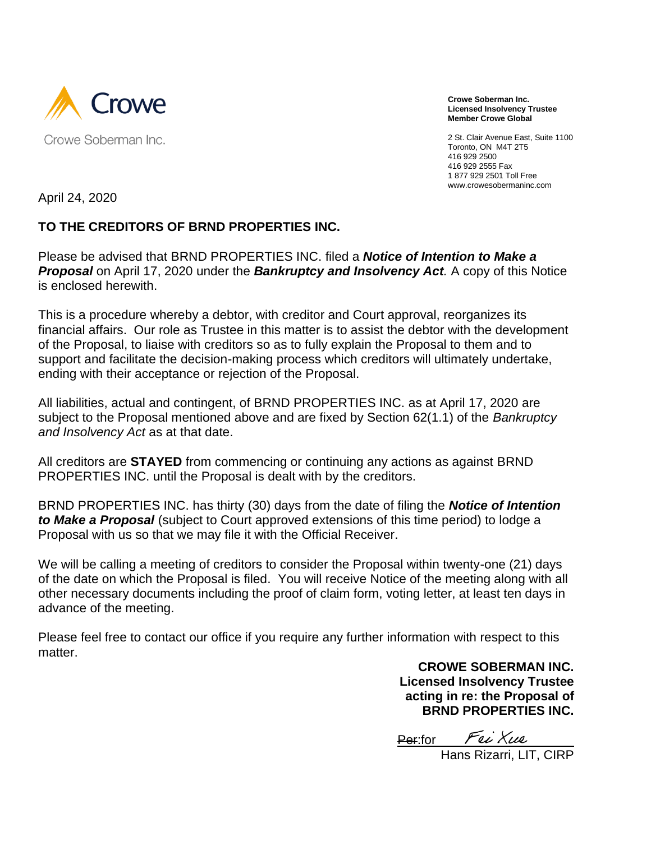

**Crowe Soberman Inc. Licensed Insolvency Trustee Member Crowe Global**

2 St. Clair Avenue East, Suite 1100 Toronto, ON M4T 2T5 416 929 2500 416 929 2555 Fax 1 877 929 2501 Toll Free www.crowesobermaninc.com

April 24, 2020

## **TO THE CREDITORS OF BRND PROPERTIES INC.**

Please be advised that BRND PROPERTIES INC. filed a *Notice of Intention to Make a Proposal* on April 17, 2020 under the *Bankruptcy and Insolvency Act.* A copy of this Notice is enclosed herewith.

This is a procedure whereby a debtor, with creditor and Court approval, reorganizes its financial affairs. Our role as Trustee in this matter is to assist the debtor with the development of the Proposal, to liaise with creditors so as to fully explain the Proposal to them and to support and facilitate the decision-making process which creditors will ultimately undertake, ending with their acceptance or rejection of the Proposal.

All liabilities, actual and contingent, of BRND PROPERTIES INC. as at April 17, 2020 are subject to the Proposal mentioned above and are fixed by Section 62(1.1) of the *Bankruptcy and Insolvency Act* as at that date.

All creditors are **STAYED** from commencing or continuing any actions as against BRND PROPERTIES INC. until the Proposal is dealt with by the creditors.

BRND PROPERTIES INC. has thirty (30) days from the date of filing the *Notice of Intention to Make a Proposal* (subject to Court approved extensions of this time period) to lodge a Proposal with us so that we may file it with the Official Receiver.

We will be calling a meeting of creditors to consider the Proposal within twenty-one (21) days of the date on which the Proposal is filed. You will receive Notice of the meeting along with all other necessary documents including the proof of claim form, voting letter, at least ten days in advance of the meeting.

Please feel free to contact our office if you require any further information with respect to this matter.

> **CROWE SOBERMAN INC. Licensed Insolvency Trustee acting in re: the Proposal of BRND PROPERTIES INC.**

Per:for  $Fei$   $X\omega$ .

Hans Rizarri, LIT, CIRP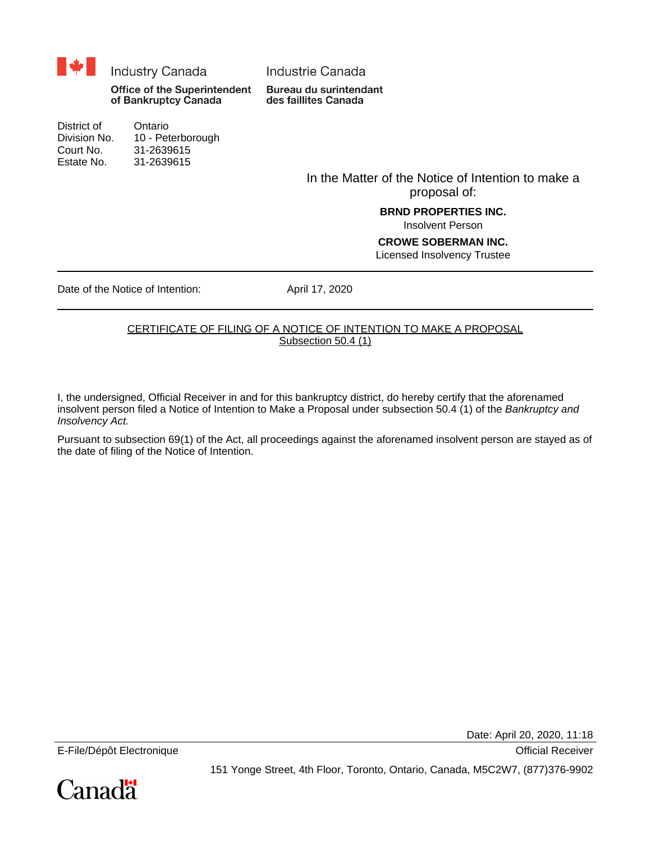

District of Ontario Court No. 31-2639615 Estate No. 31-2639615

Division No. 10 - Peterborough

In the Matter of the Notice of Intention to make a proposal of:

> **BRND PROPERTIES INC.** Insolvent Person

### **CROWE SOBERMAN INC.**

Licensed Insolvency Trustee

Date of the Notice of Intention: April 17, 2020

#### CERTIFICATE OF FILING OF A NOTICE OF INTENTION TO MAKE A PROPOSAL Subsection 50.4 (1)

I, the undersigned, Official Receiver in and for this bankruptcy district, do hereby certify that the aforenamed insolvent person filed a Notice of Intention to Make a Proposal under subsection 50.4 (1) of the Bankruptcy and Insolvency Act.

Pursuant to subsection 69(1) of the Act, all proceedings against the aforenamed insolvent person are stayed as of the date of filing of the Notice of Intention.

Date: April 20, 2020, 11:18

E-File/Dépôt Electronique **Contract Electronique** Contract Electronic entre Contract Electronic entre Contract Electronic entre Contract Electronic entre Contract Electronic entre Contract Electronic entre Contract Electro

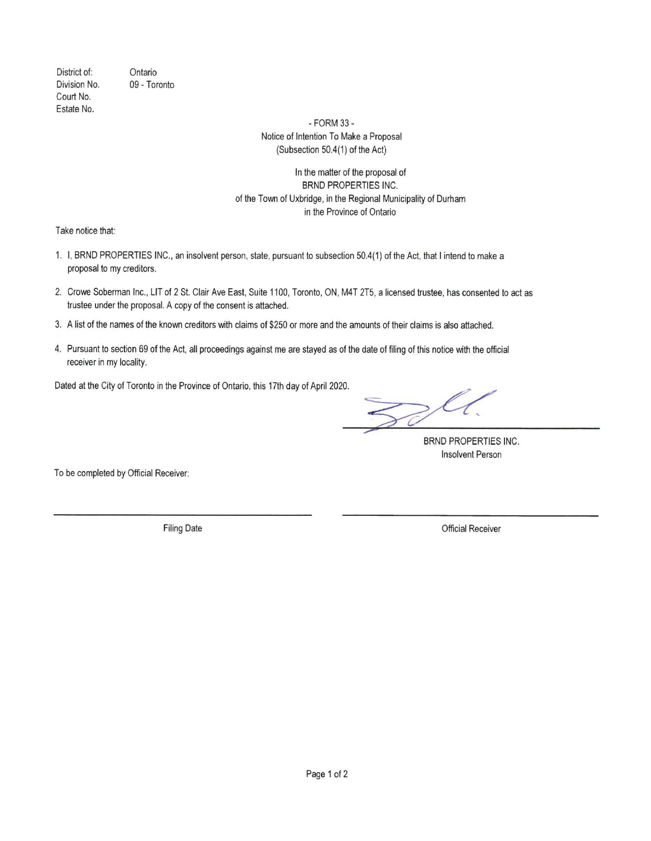District of: Division No. Court No. Estate No.

Ontario

09 - Toronto

- FORM 33 -Notice of Intention To Make a Proposal (Subsection 50.4(1) of the Act)

### In the matter of the proposal of **BRND PROPERTIES INC.** of the Town of Uxbridge, in the Regional Municipality of Durham in the Province of Ontario

Take notice that:

- 1. I, BRND PROPERTIES INC., an insolvent person, state, pursuant to subsection 50.4(1) of the Act, that I intend to make a proposal to my creditors.
- 2. Crowe Soberman Inc., LIT of 2 St. Clair Ave East, Suite 1100, Toronto, ON, M4T 2T5, a licensed trustee, has consented to act as trustee under the proposal. A copy of the consent is attached.
- 3. A list of the names of the known creditors with claims of \$250 or more and the amounts of their claims is also attached.
- 4. Pursuant to section 69 of the Act, all proceedings against me are stayed as of the date of filing of this notice with the official receiver in my locality.

Dated at the City of Toronto in the Province of Ontario, this 17th day of April 2020.

**BRND PROPERTIES INC. Insolvent Person** 

To be completed by Official Receiver:

**Filing Date** 

**Official Receiver**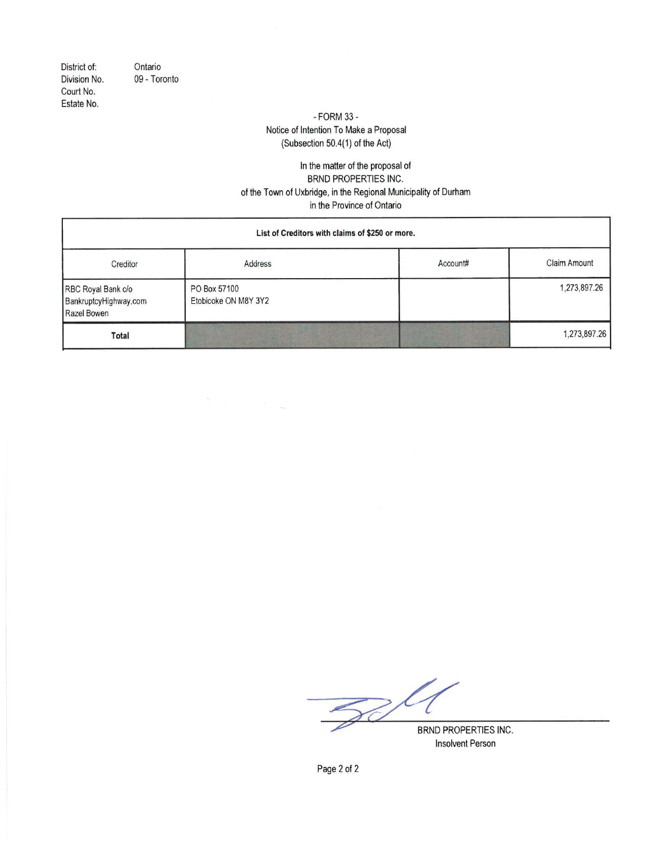District of: Division No. Court No. Estate No.

Ontario 09 - Toronto

> - FORM 33 -Notice of Intention To Make a Proposal (Subsection 50.4(1) of the Act)

### In the matter of the proposal of BRND PROPERTIES INC. of the Town of Uxbridge, in the Regional Municipality of Durham in the Province of Ontario

| List of Creditors with claims of \$250 or more.            |                                      |          |              |  |  |
|------------------------------------------------------------|--------------------------------------|----------|--------------|--|--|
| Creditor                                                   | Address                              | Account# | Claim Amount |  |  |
| RBC Royal Bank c/o<br>BankruptcyHighway.com<br>Razel Bowen | PO Box 57100<br>Etobicoke ON M8Y 3Y2 |          | 1,273,897.26 |  |  |
| Total                                                      |                                      |          | 1,273,897.26 |  |  |

BRND PROPERTIES INC. Insolvent Person

Page 2 of 2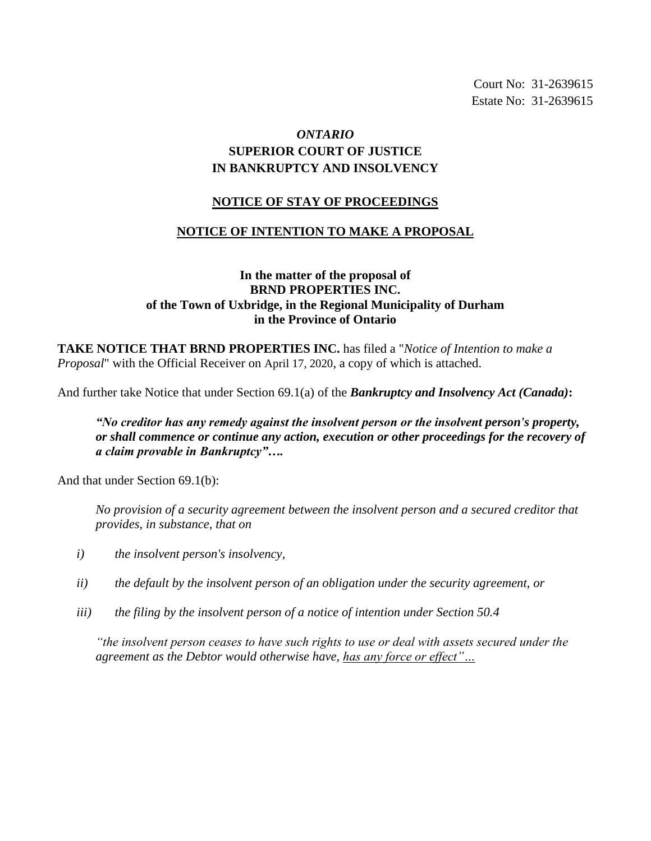Court No: 31-2639615 Estate No: 31-2639615

# *ONTARIO* **SUPERIOR COURT OF JUSTICE IN BANKRUPTCY AND INSOLVENCY**

### **NOTICE OF STAY OF PROCEEDINGS**

### **NOTICE OF INTENTION TO MAKE A PROPOSAL**

### **In the matter of the proposal of BRND PROPERTIES INC. of the Town of Uxbridge, in the Regional Municipality of Durham in the Province of Ontario**

**TAKE NOTICE THAT BRND PROPERTIES INC.** has filed a "*Notice of Intention to make a Proposal*" with the Official Receiver on April 17, 2020, a copy of which is attached.

And further take Notice that under Section 69.1(a) of the *Bankruptcy and Insolvency Act (Canada)***:**

*"No creditor has any remedy against the insolvent person or the insolvent person's property, or shall commence or continue any action, execution or other proceedings for the recovery of a claim provable in Bankruptcy"….*

And that under Section 69.1(b):

*No provision of a security agreement between the insolvent person and a secured creditor that provides, in substance, that on*

- *i) the insolvent person's insolvency,*
- *ii) the default by the insolvent person of an obligation under the security agreement, or*
- *iii) the filing by the insolvent person of a notice of intention under Section 50.4*

*"the insolvent person ceases to have such rights to use or deal with assets secured under the agreement as the Debtor would otherwise have, has any force or effect"…*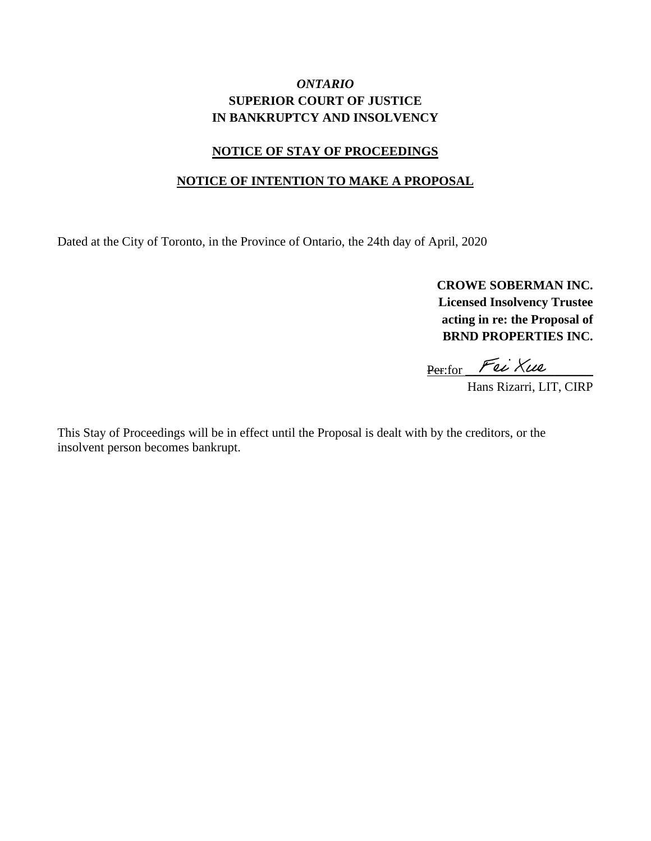## *ONTARIO* **SUPERIOR COURT OF JUSTICE IN BANKRUPTCY AND INSOLVENCY**

### **NOTICE OF STAY OF PROCEEDINGS**

#### **NOTICE OF INTENTION TO MAKE A PROPOSAL**

Dated at the City of Toronto, in the Province of Ontario, the 24th day of April, 2020

**CROWE SOBERMAN INC. Licensed Insolvency Trustee acting in re: the Proposal of BRND PROPERTIES INC.**

Per:for Fei Xue

Hans Rizarri, LIT, CIRP

This Stay of Proceedings will be in effect until the Proposal is dealt with by the creditors, or the insolvent person becomes bankrupt.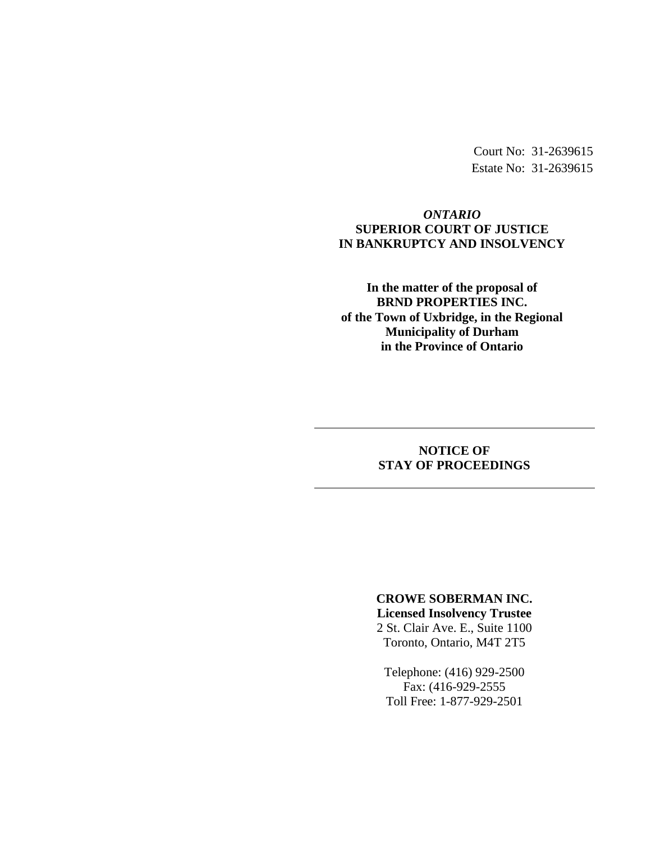Court No: 31-2639615 Estate No: 31-2639615

### *ONTARIO* **SUPERIOR COURT OF JUSTICE IN BANKRUPTCY AND INSOLVENCY**

**In the matter of the proposal of BRND PROPERTIES INC. of the Town of Uxbridge, in the Regional Municipality of Durham in the Province of Ontario**

### **NOTICE OF STAY OF PROCEEDINGS**

### **CROWE SOBERMAN INC.**

**Licensed Insolvency Trustee** 2 St. Clair Ave. E., Suite 1100 Toronto, Ontario, M4T 2T5

Telephone: (416) 929-2500 Fax: (416-929-2555 Toll Free: 1-877-929-2501